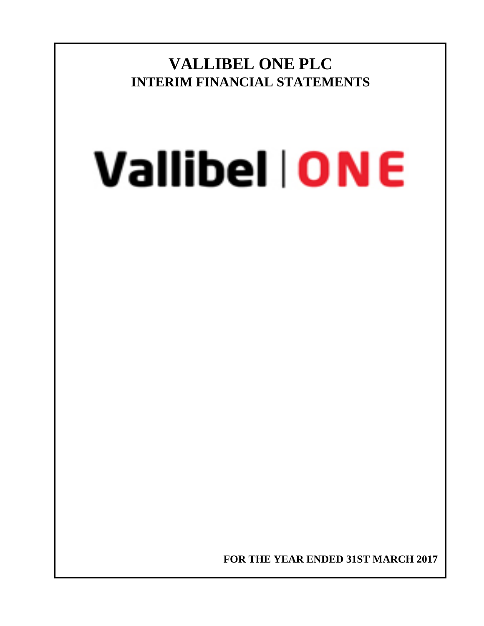**VALLIBEL ONE PLC INTERIM FINANCIAL STATEMENTS**

# **Vallibel | ONE**

**FOR THE YEAR ENDED 31ST MARCH 2017**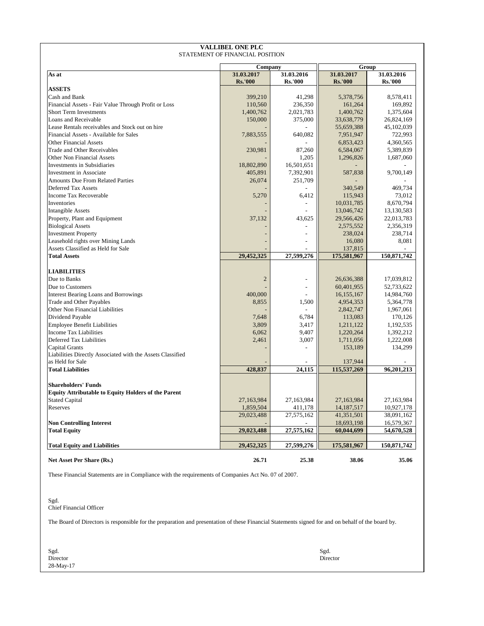| <b>VALLIBEL ONE PLC</b><br>STATEMENT OF FINANCIAL POSITION |                       |                |                     |                |  |  |  |  |  |  |  |
|------------------------------------------------------------|-----------------------|----------------|---------------------|----------------|--|--|--|--|--|--|--|
|                                                            |                       |                |                     |                |  |  |  |  |  |  |  |
| As at                                                      | Company<br>31.03.2017 | 31.03.2016     | Group<br>31.03.2017 | 31.03.2016     |  |  |  |  |  |  |  |
|                                                            | <b>Rs.'000</b>        | <b>Rs.'000</b> | <b>Rs.'000</b>      | <b>Rs.'000</b> |  |  |  |  |  |  |  |
| <b>ASSETS</b>                                              |                       |                |                     |                |  |  |  |  |  |  |  |
| Cash and Bank                                              | 399,210               | 41,298         | 5,378,756           | 8,578,411      |  |  |  |  |  |  |  |
| Financial Assets - Fair Value Through Profit or Loss       | 110,560               | 236,350        | 161,264             | 169,892        |  |  |  |  |  |  |  |
| Short Term Investments                                     | 1,400,762             | 2,021,783      | 1,400,762           | 1,375,604      |  |  |  |  |  |  |  |
| Loans and Receivable                                       | 150,000               | 375,000        | 33,638,779          | 26,824,169     |  |  |  |  |  |  |  |
| Lease Rentals receivables and Stock out on hire            |                       |                | 55,659,388          | 45,102,039     |  |  |  |  |  |  |  |
| Financial Assets - Available for Sales                     | 7,883,555             | 640.082        | 7,951,947           | 722,993        |  |  |  |  |  |  |  |
| <b>Other Financial Assets</b>                              |                       |                | 6,853,423           | 4,360,565      |  |  |  |  |  |  |  |
| Trade and Other Receivables                                | 230,981               | 87,260         | 6,584,067           | 5,389,839      |  |  |  |  |  |  |  |
| Other Non Financial Assets                                 |                       | 1,205          | 1,296,826           | 1,687,060      |  |  |  |  |  |  |  |
| <b>Investments in Subsidiaries</b>                         | 18,802,890            | 16,501,651     |                     |                |  |  |  |  |  |  |  |
| <b>Investment</b> in Associate                             | 405,891               | 7,392,901      | 587,838             | 9,700,149      |  |  |  |  |  |  |  |
| <b>Amounts Due From Related Parties</b>                    | 26,074                | 251,709        |                     |                |  |  |  |  |  |  |  |
| <b>Deferred Tax Assets</b>                                 |                       |                | 340,549             | 469,734        |  |  |  |  |  |  |  |
| <b>Income Tax Recoverable</b>                              | 5,270                 | 6,412          | 115,943             | 73,012         |  |  |  |  |  |  |  |
| Inventories                                                |                       |                | 10,031,785          | 8,670,794      |  |  |  |  |  |  |  |
| <b>Intangible Assets</b>                                   |                       |                | 13,046,742          | 13,130,583     |  |  |  |  |  |  |  |
| Property, Plant and Equipment                              | 37,132                | 43,625         | 29,566,426          | 22,013,783     |  |  |  |  |  |  |  |
| <b>Biological Assets</b>                                   |                       |                | 2,575,552           | 2,356,319      |  |  |  |  |  |  |  |
| <b>Investment Property</b>                                 |                       |                | 238,024             | 238,714        |  |  |  |  |  |  |  |
| Leasehold rights over Mining Lands                         |                       |                | 16,080              | 8,081          |  |  |  |  |  |  |  |
| Assets Classified as Held for Sale                         |                       |                | 137,815             |                |  |  |  |  |  |  |  |
| <b>Total Assets</b>                                        | 29,452,325            | 27,599,276     | 175,581,967         | 150,871,742    |  |  |  |  |  |  |  |
|                                                            |                       |                |                     |                |  |  |  |  |  |  |  |
| <b>LIABILITIES</b>                                         |                       |                |                     |                |  |  |  |  |  |  |  |
| Due to Banks                                               | $\overline{2}$        |                | 26,636,388          | 17,039,812     |  |  |  |  |  |  |  |
| Due to Customers                                           |                       |                | 60,401,955          | 52,733,622     |  |  |  |  |  |  |  |
| <b>Interest Bearing Loans and Borrowings</b>               | 400,000               |                | 16,155,167          | 14,984,760     |  |  |  |  |  |  |  |
| <b>Trade and Other Payables</b>                            | 8,855                 | 1,500          | 4,954,353           | 5,364,778      |  |  |  |  |  |  |  |
| Other Non Financial Liabilities                            |                       |                | 2,842,747           | 1,967,061      |  |  |  |  |  |  |  |
| Dividend Payable                                           | 7,648                 | 6,784          | 113,083             | 170,126        |  |  |  |  |  |  |  |
| <b>Employee Benefit Liabilities</b>                        | 3,809                 | 3,417          | 1,211,122           | 1,192,535      |  |  |  |  |  |  |  |
| <b>Income Tax Liabilities</b>                              | 6,062                 | 9,407          | 1,220,264           | 1,392,212      |  |  |  |  |  |  |  |
| Deferred Tax Liabilities                                   | 2,461                 | 3,007          | 1,711,056           | 1,222,008      |  |  |  |  |  |  |  |
| Capital Grants                                             |                       |                | 153,189             | 134,299        |  |  |  |  |  |  |  |
| Liabilities Directly Associated with the Assets Classified |                       |                |                     |                |  |  |  |  |  |  |  |
| as Held for Sale                                           |                       |                | 137,944             |                |  |  |  |  |  |  |  |
| <b>Total Liabilities</b>                                   | 428,837               | 24,115         | 115,537,269         | 96,201,213     |  |  |  |  |  |  |  |
|                                                            |                       |                |                     |                |  |  |  |  |  |  |  |
| <b>Shareholders' Funds</b>                                 |                       |                |                     |                |  |  |  |  |  |  |  |
| <b>Equity Attributable to Equity Holders of the Parent</b> |                       |                |                     |                |  |  |  |  |  |  |  |
| <b>Stated Capital</b>                                      | 27,163,984            | 27,163,984     | 27,163,984          | 27,163,984     |  |  |  |  |  |  |  |
| Reserves                                                   | 1,859,504             | 411,178        | 14,187,517          | 10,927,178     |  |  |  |  |  |  |  |
|                                                            | 29,023,488            | 27,575,162     | 41,351,501          | 38,091,162     |  |  |  |  |  |  |  |
| <b>Non Controlling Interest</b>                            |                       |                | 18,693,198          | 16,579,367     |  |  |  |  |  |  |  |
| <b>Total Equity</b>                                        | 29,023,488            | 27,575,162     | 60,044,699          | 54,670,528     |  |  |  |  |  |  |  |
|                                                            | 29,452,325            | 27,599,276     | 175,581,967         | 150,871,742    |  |  |  |  |  |  |  |
| <b>Total Equity and Liabilities</b>                        |                       |                |                     |                |  |  |  |  |  |  |  |
| Net Asset Per Share (Rs.)                                  | 26.71                 | 25.38          | 38.06               | 35.06          |  |  |  |  |  |  |  |

These Financial Statements are in Compliance with the requirements of Companies Act No. 07 of 2007.

Sgd. Chief Financial Officer

The Board of Directors is responsible for the preparation and presentation of these Financial Statements signed for and on behalf of the board by.

Sgd. Sgd. **Director** Director **Director** Director<br>28-May-17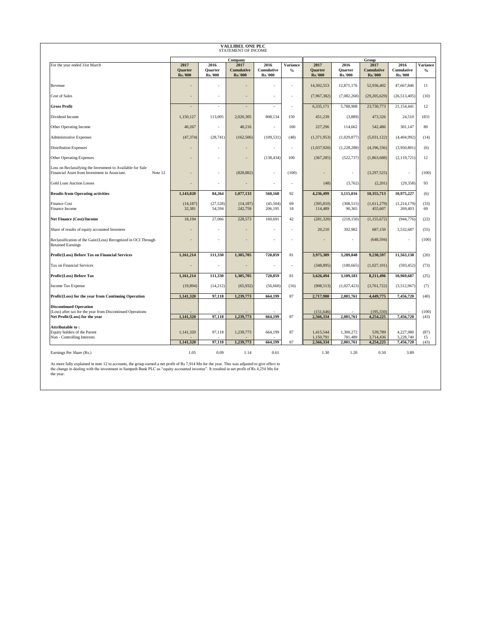| <b>VALLIBEL ONE PLC</b><br>STATEMENT OF INCOME                                                                         |                                          |                                          |                                             |                                             |                  |                                          |                                          |                                             |                                      |                         |  |
|------------------------------------------------------------------------------------------------------------------------|------------------------------------------|------------------------------------------|---------------------------------------------|---------------------------------------------|------------------|------------------------------------------|------------------------------------------|---------------------------------------------|--------------------------------------|-------------------------|--|
|                                                                                                                        |                                          |                                          | Company                                     |                                             |                  |                                          |                                          | Group                                       |                                      |                         |  |
| For the year ended 31st March                                                                                          | 2017<br><b>Quarter</b><br><b>Rs.'000</b> | 2016<br><b>Quarter</b><br><b>Rs.'000</b> | 2017<br><b>Cumulative</b><br><b>Rs.'000</b> | 2016<br><b>Cumulative</b><br><b>Rs.'000</b> | Variance<br>$\%$ | 2017<br><b>Quarter</b><br><b>Rs.'000</b> | 2016<br><b>Quarter</b><br><b>Rs.'000</b> | 2017<br><b>Cumulative</b><br><b>Rs.'000</b> | 2016<br>Cumulative<br><b>Rs.'000</b> | <b>Variance</b><br>$\%$ |  |
| Revenue                                                                                                                |                                          |                                          |                                             | ÷,                                          |                  | 14,302,553                               | 12,871,176                               | 52,936,402                                  | 47,667,846                           | 11                      |  |
| <b>Cost of Sales</b>                                                                                                   |                                          |                                          |                                             |                                             |                  | (7,967,382)                              | (7,082,268)                              | (29,205,629)                                | (26,513,405)                         | (10)                    |  |
| <b>Gross Profit</b>                                                                                                    |                                          | $\sim$                                   | $\overline{\phantom{a}}$                    | $\overline{\phantom{a}}$                    | $\sim$           | 6,335,171                                | 5,788,908                                | 23,730,773                                  | 21,154,441                           | 12                      |  |
| Dividend Income                                                                                                        | 1,150,127                                | 113,005                                  | 2,020,305                                   | 808,134                                     | 150              | 451,239                                  | (3,889)                                  | 473,326                                     | 24,510                               | 1831                    |  |
| Other Operating Income                                                                                                 | 40,267                                   | ÷.                                       | 48,216                                      | $\sim$                                      | 100              | 227,296                                  | 114,662                                  | 542,486                                     | 301,147                              | 80                      |  |
| <b>Administrative Expenses</b>                                                                                         | (47, 374)                                | (28,741)                                 | (162, 506)                                  | (109, 531)                                  | (48)             | (1,371,953)                              | (1,029,877)                              | (5,031,122)                                 | (4,404,992)                          | (14)                    |  |
| <b>Distribution Expenses</b>                                                                                           |                                          |                                          |                                             | ÷,                                          | $\sim$           | (1,037,920)                              | (1,228,288)                              | (4,196,336)                                 | (3.950, 801)                         | (6)                     |  |
| <b>Other Operating Expenses</b>                                                                                        |                                          |                                          | $\overline{\phantom{a}}$                    | (138, 434)                                  | 100              | (367, 285)                               | (522, 737)                               | (1,863,688)                                 | (2,119,721)                          | 12                      |  |
| Loss on Reclassifying the Investment to Available for Sale<br>Financial Asset from Investment in Associate.<br>Note 12 |                                          | ٠                                        | (828, 882)                                  | ä,                                          | (100)            | ä,                                       | $\sim$                                   | (3,297,525)                                 | $\sim$                               | (100)                   |  |
| <b>Gold Loan Auction Losses</b>                                                                                        |                                          |                                          |                                             | ä,                                          |                  | (48)                                     | (3,762)                                  | (2,201)                                     | (29, 358)                            | 93                      |  |
| <b>Results from Operating activities</b>                                                                               | 1,143,020                                | 84,264                                   | 1,077,133                                   | 560,168                                     | 92               | 4,236,499                                | 3,115,016                                | 10,355,713                                  | 10,975,227                           | (6)                     |  |
| <b>Finance Cost</b><br>Finance Income                                                                                  | (14, 187)<br>32,381                      | (27, 528)<br>54,594                      | (14, 187)<br>242,759                        | (45,504)<br>206,195                         | 69<br>18         | (395, 810)<br>114,489                    | (308, 515)<br>90,365                     | (1,611,279)<br>455,607                      | (1,214,179)<br>269,403               | (33)<br>69              |  |
| Net Finance (Cost)/Income                                                                                              | 18,194                                   | 27,066                                   | 228,573                                     | 160,691                                     | 42               | (281, 320)                               | (218, 150)                               | (1, 155, 672)                               | (944, 776)                           | (22)                    |  |
| Share of results of equity accounted Investees                                                                         |                                          |                                          |                                             | ä,                                          | $\sim$           | 20,210                                   | 392,982                                  | 687,150                                     | 1,532,687                            | (55)                    |  |
| Reclassification of the Gain/(Loss) Recognized in OCI Through<br><b>Retained Earnings</b>                              |                                          |                                          | ٠                                           | ÷,                                          | ٠                | ٠                                        | $\sim$                                   | (648, 594)                                  | ÷                                    | (100)                   |  |
| Profit/(Loss) Before Tax on Financial Services                                                                         | 1,161,214                                | 111,330                                  | 1,305,705                                   | 720,859                                     | 81               | 3,975,389                                | 3,289,848                                | 9,238,597                                   | 11,563,138                           | (20)                    |  |
| <b>Tax on Financial Services</b>                                                                                       |                                          |                                          | $\overline{\phantom{a}}$                    | ä,                                          | $\sim$           | (348, 895)                               | (180, 665)                               | (1,027,101)                                 | (593, 452)                           | (73)                    |  |
| Profit/(Loss) Before Tax                                                                                               | 1,161,214                                | 111,330                                  | 1,305,705                                   | 720,859                                     | 81               | 3,626,494                                | 3,109,183                                | 8,211,496                                   | 10,969,687                           | (25)                    |  |
| Income Tax Expense                                                                                                     | (19, 894)                                | (14,212)                                 | (65, 932)                                   | (56, 660)                                   | (16)             | (908, 513)                               | (1,027,423)                              | (3,761,722)                                 | (3,512,967)                          | (7)                     |  |
| Profit/(Loss) for the year from Continuing Operation                                                                   | 1,141,320                                | 97,118                                   | 1,239,773                                   | 664,199                                     | 87               | 2,717,980                                | 2,081,761                                | 4,449,775                                   | 7,456,720                            | (40)                    |  |
| <b>Discontinued Operation</b><br>(Loss) after tax for the year from Discontinued Operations                            |                                          |                                          |                                             |                                             |                  | (151, 646)                               |                                          | (195, 550)                                  |                                      | (100)                   |  |
| Net Profit/(Loss) for the year                                                                                         | 1,141,320                                | 97,118                                   | 1,239,773                                   | 664,199                                     | 87               | 2,566,334                                | 2,081,761                                | 4,254,225                                   | 7,456,720                            | (43)                    |  |
| <b>Attributable to :</b><br>Equity holders of the Parent<br>Non - Controlling Interests                                | 1,141,320                                | 97,118                                   | 1,239,773                                   | 664,199                                     | 87               | 1,415,544<br>1,150,791                   | 1,300,272<br>781,489                     | 539,789<br>3,714,436                        | 4,227,980<br>3,228,740               | (87)<br>15              |  |
|                                                                                                                        | 1.141.320                                | 97,118                                   | 1,239,773                                   | 664,199                                     | 87               | 2,566,334                                | 2,081,761                                | 4,254,225                                   | 7,456,720                            | (43)                    |  |
| Earnings Per Share (Rs.)                                                                                               | 1.05                                     | 0.09                                     | 1.14                                        | 0.61                                        |                  | 1.30                                     | 1.20                                     | 0.50                                        | 3.89                                 |                         |  |

As more fully explained in note 12 to accounts, the group earned a net profit of Rs 7,914 Mn for the year. This was adjusted to give effect to the change in dealing with the investment in Sampath Bank PLC as "equity accoun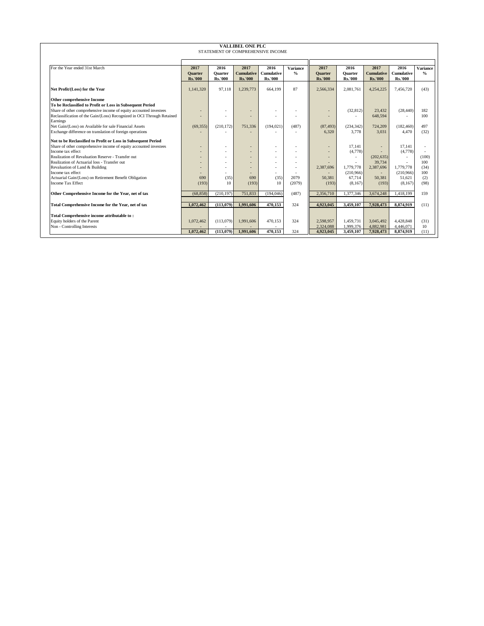| <b>VALLIBEL ONE PLC</b>                                                |                |                |                   |                                   |                 |                          |                |                          |                   |                          |  |  |  |
|------------------------------------------------------------------------|----------------|----------------|-------------------|-----------------------------------|-----------------|--------------------------|----------------|--------------------------|-------------------|--------------------------|--|--|--|
|                                                                        |                |                |                   | STATEMENT OF COMPREHENSIVE INCOME |                 |                          |                |                          |                   |                          |  |  |  |
|                                                                        |                |                |                   |                                   |                 |                          |                |                          |                   |                          |  |  |  |
| For the Year ended 31st March                                          | 2017           | 2016           | 2017              | 2016                              | <b>Variance</b> | 2017                     | 2016           | 2017                     | 2016              |                          |  |  |  |
|                                                                        | <b>Ouarter</b> | Ouarter        | <b>Cumulative</b> | <b>Cumulative</b>                 | $\frac{0}{0}$   | <b>Ouarter</b>           | <b>Ouarter</b> | <b>Cumulative</b>        | <b>Cumulative</b> | Variance<br>$\%$         |  |  |  |
|                                                                        | <b>Rs.'000</b> | <b>Rs.'000</b> | <b>Rs.'000</b>    | <b>Rs.'000</b>                    |                 | <b>Rs.'000</b>           | <b>Rs.'000</b> | <b>Rs.'000</b>           | <b>Rs.'000</b>    |                          |  |  |  |
|                                                                        |                |                |                   |                                   |                 |                          |                |                          |                   |                          |  |  |  |
| Net Profit/(Loss) for the Year                                         | 1.141.320      | 97,118         | 1,239,773         | 664.199                           | 87              | 2,566,334                | 2.081.761      | 4,254,225                | 7,456,720         | (43)                     |  |  |  |
| <b>Other comprehensive Income</b>                                      |                |                |                   |                                   |                 |                          |                |                          |                   |                          |  |  |  |
| To be Reclassified to Profit or Loss in Subsequent Period              |                |                |                   |                                   |                 |                          |                |                          |                   |                          |  |  |  |
| Share of other comprehensive income of equity accounted investees      |                | ٠              |                   |                                   |                 | ٠                        | (32, 812)      | 23,432                   | (28, 440)         | 182                      |  |  |  |
| Reclassification of the Gain/(Loss) Recognized in OCI Through Retained |                |                |                   |                                   |                 |                          |                | 648,594                  |                   | 100                      |  |  |  |
| Earnings                                                               |                |                |                   |                                   |                 |                          |                |                          |                   |                          |  |  |  |
| Net Gain/(Loss) on Available for sale Financial Assets                 | (69, 355)      | (210, 172)     | 751,336           | (194, 021)                        | (487)           | (87, 493)                | (234, 342)     | 724,209                  | (182, 460)        | 497                      |  |  |  |
| Exchange difference on translation of foreign operations               |                |                |                   |                                   |                 | 6.320                    | 3.778          | 3.031                    | 4.470             | (32)                     |  |  |  |
| Not to be Reclassified to Profit or Loss in Subsequent Period          |                |                |                   |                                   |                 |                          |                |                          |                   |                          |  |  |  |
| Share of other comprehensive income of equity accounted investees      |                | ٠              | ٠                 |                                   |                 | ٠                        | 17.141         | ٠                        | 17.141            | $\overline{\phantom{a}}$ |  |  |  |
| Income tax effect                                                      |                | ٠              | ۰.                | и.                                |                 | ٠                        | (4,778)        |                          | (4,778)           |                          |  |  |  |
| Realization of Revaluation Reserve - Transfer out                      |                | ٠              | ۰                 |                                   |                 | ٠                        | $\sim$         | (202, 635)               | ٠                 | (100)                    |  |  |  |
| Realization of Actuarial loss - Transfer out                           |                | ٠              |                   | и.                                |                 |                          |                | 39,734                   |                   | 100                      |  |  |  |
| Revaluation of Land & Building                                         |                | ٠              | ۰.                | $\overline{\phantom{a}}$          |                 | 2,387,696                | 1,779,778      | 2,387,696                | 1,779,778         | (34)                     |  |  |  |
| Income tax effect                                                      |                | ٠              | $\blacksquare$    | ٠                                 |                 | $\overline{\phantom{a}}$ | (210,966)      | $\overline{\phantom{a}}$ | (210,966)         | 100                      |  |  |  |
| Actuarial Gain/(Loss) on Retirement Benefit Obligation                 | 690            | (35)           | 690               | (35)                              | 2079            | 50.381                   | 67.714         | 50.381                   | 51,621            | (2)                      |  |  |  |
| <b>Income Tax Effect</b>                                               | (193)          | 10             | (193)             | 10                                | (2079)          | (193)                    | (8,167)        | (193)                    | (8,167)           | (98)                     |  |  |  |
| Other Comprehensive Income for the Year, net of tax                    | (68, 858)      | (210, 197)     | 751,833           | (194,046)                         | (487)           | 2,356,710                | 1,377,346      | 3,674,248                | 1,418,199         | 159                      |  |  |  |
|                                                                        |                |                |                   |                                   |                 |                          |                |                          |                   |                          |  |  |  |
| Total Comprehensive Income for the Year, net of tax                    | 1.072.462      | (113.079)      | 1.991.606         | 470.153                           | 324             | 4.923.045                | 3.459.107      | 7.928.473                | 8.874.919         | (11)                     |  |  |  |
|                                                                        |                |                |                   |                                   |                 |                          |                |                          |                   |                          |  |  |  |
| Total Comprehensive income attributable to:                            |                |                |                   |                                   |                 |                          |                |                          |                   |                          |  |  |  |
| Equity holders of the Parent                                           | 1,072,462      | (113,079)      | 1,991,606         | 470,153                           | 324             | 2,598,957                | 1,459,731      | 3,045,492                | 4,428,848         | (31)                     |  |  |  |
| Non - Controlling Interests                                            |                |                |                   |                                   |                 | 2,324,088                | 1,999,376      | 4,882,981                | 4.446.071         | 10                       |  |  |  |
|                                                                        | 1.072.462      | (113.079)      | 1.991.606         | 470.153                           | 324             | 4,923,045                | 3,459,107      | 7,928,473                | 8,874,919         | (11)                     |  |  |  |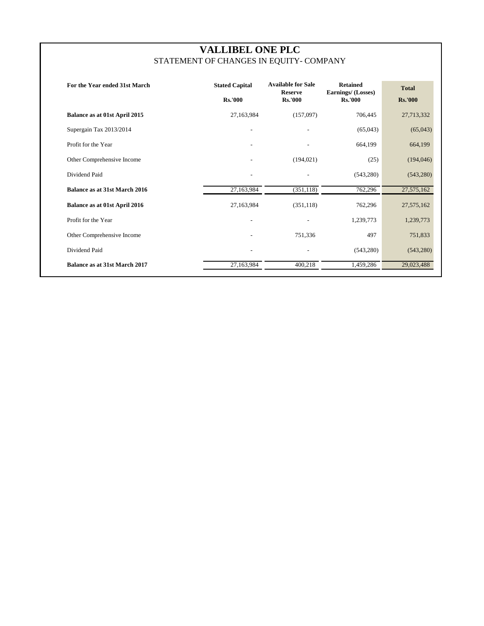# **VALLIBEL ONE PLC** STATEMENT OF CHANGES IN EQUITY- COMPANY

| For the Year ended 31st March        | <b>Stated Capital</b><br><b>Rs.'000</b> | <b>Available for Sale</b><br><b>Reserve</b><br><b>Rs.'000</b> | <b>Retained</b><br>Earnings/ (Losses)<br><b>Rs.'000</b> | <b>Total</b><br><b>Rs.'000</b> |
|--------------------------------------|-----------------------------------------|---------------------------------------------------------------|---------------------------------------------------------|--------------------------------|
| Balance as at 01st April 2015        | 27,163,984                              | (157,097)                                                     | 706,445                                                 | 27,713,332                     |
| Supergain Tax 2013/2014              | $\overline{\phantom{a}}$                | $\overline{\phantom{a}}$                                      | (65,043)                                                | (65,043)                       |
| Profit for the Year                  |                                         |                                                               | 664,199                                                 | 664,199                        |
| Other Comprehensive Income           |                                         | (194, 021)                                                    | (25)                                                    | (194, 046)                     |
| Dividend Paid                        |                                         |                                                               | (543, 280)                                              | (543, 280)                     |
| <b>Balance as at 31st March 2016</b> | 27,163,984                              | (351, 118)                                                    | 762,296                                                 | 27,575,162                     |
| Balance as at 01st April 2016        | 27,163,984                              | (351, 118)                                                    | 762,296                                                 | 27,575,162                     |
| Profit for the Year                  | $\overline{\phantom{a}}$                |                                                               | 1,239,773                                               | 1,239,773                      |
| Other Comprehensive Income           |                                         | 751,336                                                       | 497                                                     | 751,833                        |
| Dividend Paid                        |                                         |                                                               | (543, 280)                                              | (543, 280)                     |
| Balance as at 31st March 2017        | 27,163,984                              | 400,218                                                       | 1,459,286                                               | 29,023,488                     |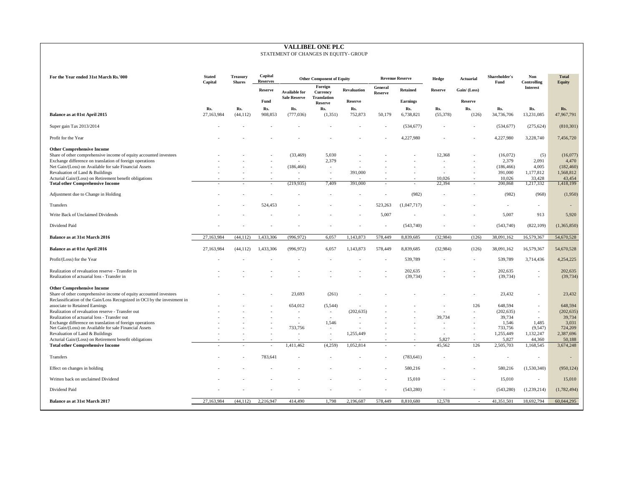# **VALLIBEL ONE PLC**

## STATEMENT OF CHANGES IN EQUITY- GROUP

| For the Year ended 31st March Rs.'000                                                                              | <b>Stated</b><br>Capital | <b>Treasury</b><br><b>Shares</b> | Capital<br><b>Reserves</b> |                                             | <b>Other Component of Equity</b>                 |                    |                           | <b>Revenue Reserve</b> | Hedge                    | <b>Actuarial</b>         | Shareholder's<br>Fund | Non<br>Controlling       | <b>Total</b><br><b>Equity</b> |
|--------------------------------------------------------------------------------------------------------------------|--------------------------|----------------------------------|----------------------------|---------------------------------------------|--------------------------------------------------|--------------------|---------------------------|------------------------|--------------------------|--------------------------|-----------------------|--------------------------|-------------------------------|
|                                                                                                                    |                          |                                  | <b>Reserve</b>             | <b>Available for</b><br><b>Sale Reserve</b> | Foreign<br><b>Currency</b><br><b>Translation</b> | <b>Revaluation</b> | General<br><b>Reserve</b> | <b>Retained</b>        | <b>Reserve</b>           | Gain/(Loss)              |                       | <b>Interest</b>          |                               |
|                                                                                                                    |                          |                                  | Fund                       |                                             | <b>Reserve</b>                                   | <b>Reserve</b>     |                           | <b>Earnings</b>        |                          | <b>Reserve</b>           |                       |                          |                               |
| Balance as at 01st April 2015                                                                                      | Rs.<br>27,163,984        | Rs.<br>(44, 112)                 | Rs.<br>908,853             | Rs.<br>(777, 036)                           | Rs.<br>(1,351)                                   | Rs.<br>752,873     | 50,179                    | Rs.<br>6,738,821       | Rs.<br>(55,378)          | Rs.<br>(126)             | Rs.<br>34,736,706     | Rs.<br>13,231,085        | Rs.<br>47,967,791             |
| Super gain Tax 2013/2014                                                                                           |                          |                                  |                            |                                             |                                                  |                    |                           | (534, 677)             |                          |                          | (534, 677)            | (275, 624)               | (810, 301)                    |
| Profit for the Year                                                                                                |                          |                                  |                            |                                             |                                                  |                    |                           | 4,227,980              |                          | ÷                        | 4,227,980             | 3,228,740                | 7,456,720                     |
| <b>Other Comprehensive Income</b>                                                                                  |                          |                                  |                            |                                             |                                                  |                    |                           |                        |                          |                          |                       |                          |                               |
| Share of other comprehensive income of equity accounted investees                                                  |                          |                                  |                            | (33, 469)                                   | 5.030                                            |                    |                           |                        | 12.368                   |                          | (16,072)              | (5)                      | (16,077)                      |
| Exchange difference on translation of foreign operations                                                           |                          |                                  |                            |                                             | 2,379                                            |                    |                           |                        |                          |                          | 2,379                 | 2,091<br>4,005           | 4,470                         |
| Net Gain/(Loss) on Available for sale Financial Assets<br>Revaluation of Land & Buildings                          |                          |                                  |                            | (186, 466)                                  |                                                  | 391,000            |                           |                        |                          |                          | (186, 466)<br>391,000 | 1,177,812                | (182, 460)<br>1,568,812       |
| Acturial Gain/(Loss) on Retirement benefit obligations                                                             |                          |                                  |                            |                                             |                                                  |                    |                           |                        | 10,026                   |                          | 10,026                | 33,428                   | 43,454                        |
| <b>Total other Comprehensive Income</b>                                                                            |                          |                                  |                            | (219, 935)                                  | 7,409                                            | 391,000            | $\sim$                    |                        | 22,394                   | $\overline{\phantom{a}}$ | 200,868               | 1,217,332                | 1,418,199                     |
| Adjustment due to Change in Holding                                                                                |                          |                                  |                            |                                             |                                                  |                    |                           | (982)                  |                          |                          | (982)                 | (968)                    | (1,950)                       |
| Transfers                                                                                                          |                          |                                  | 524,453                    |                                             |                                                  |                    | 523,263                   | (1,047,717)            |                          |                          |                       | $\overline{\phantom{a}}$ |                               |
| Write Back of Unclaimed Dividends                                                                                  |                          |                                  |                            |                                             |                                                  |                    | 5,007                     |                        |                          |                          | 5,007                 | 913                      | 5,920                         |
| Dividend Paid                                                                                                      |                          |                                  |                            |                                             |                                                  |                    |                           | (543,740)              |                          |                          | (543,740)             | (822, 109)               | (1,365,850)                   |
| Balance as at 31st March 2016                                                                                      | 27,163,984               | (44, 112)                        | 1,433,306                  | (996, 972)                                  | 6,057                                            | 1,143,873          | 578,449                   | 8,839,685              | (32,984)                 | (126)                    | 38,091,162            | 16,579,367               | 54,670,528                    |
| Balance as at 01st April 2016                                                                                      | 27,163,984               | (44, 112)                        | 1,433,306                  | (996, 972)                                  | 6,057                                            | 1,143,873          | 578,449                   | 8,839,685              | (32,984)                 | (126)                    | 38,091,162            | 16,579,367               | 54,670,528                    |
| Profit/(Loss) for the Year                                                                                         |                          |                                  |                            |                                             |                                                  |                    |                           | 539,789                |                          |                          | 539,789               | 3,714,436                | 4,254,225                     |
| Realization of revaluation reserve - Transfer in                                                                   |                          |                                  |                            |                                             |                                                  |                    |                           | 202,635                |                          |                          | 202,635               | $\overline{a}$           | 202,635                       |
| Realization of actuarial loss - Transfer in                                                                        |                          |                                  |                            |                                             |                                                  |                    |                           | (39, 734)              |                          |                          | (39, 734)             | ٠                        | (39, 734)                     |
| <b>Other Comprehensive Income</b>                                                                                  |                          |                                  |                            |                                             |                                                  |                    |                           |                        |                          |                          |                       |                          |                               |
| Share of other comprehensive income of equity accounted investees                                                  |                          |                                  |                            | 23,693                                      | (261)                                            |                    |                           |                        |                          |                          | 23,432                |                          | 23,432                        |
| Reclassification of the Gain/Loss Recognized in OCI by the investment in                                           |                          |                                  |                            |                                             |                                                  |                    |                           |                        |                          |                          |                       |                          |                               |
| associate to Retained Earnings                                                                                     |                          |                                  |                            | 654,012                                     | (5,544)                                          |                    |                           |                        |                          | 126                      | 648,594               | $\overline{a}$           | 648,594                       |
| Realization of revaluation reserve - Transfer out                                                                  |                          |                                  |                            |                                             | $\sim$                                           | (202, 635)         |                           |                        | $\overline{\phantom{a}}$ |                          | (202, 635)            | $\sim$                   | (202, 635)                    |
| Realization of actuarial loss - Transfer out                                                                       |                          |                                  |                            |                                             |                                                  |                    |                           |                        | 39,734                   |                          | 39,734                |                          | 39,734<br>3,031               |
| Exchange difference on translation of foreign operations<br>Net Gain/(Loss) on Available for sale Financial Assets |                          |                                  |                            | $\sim$<br>733,756                           | 1,546                                            |                    |                           |                        |                          |                          | 1,546<br>733,756      | 1,485<br>(9, 547)        | 724,209                       |
| Revaluation of Land & Buildings                                                                                    |                          |                                  |                            |                                             |                                                  | 1,255,449          |                           |                        |                          |                          | 1,255,449             | 1,132,247                | 2,387,696                     |
| Acturial Gain/(Loss) on Retirement benefit obligations                                                             |                          |                                  |                            |                                             |                                                  |                    |                           |                        | 5,827                    |                          | 5,827                 | 44,360                   | 50,188                        |
| <b>Total other Comprehensive Income</b>                                                                            |                          |                                  | $\sim$                     | 1,411,462                                   | (4,259)                                          | 1,052,814          | $\sim$                    |                        | 45,562                   | 126                      | 2,505,703             | 1,168,545                | 3,674,248                     |
| Transfers                                                                                                          |                          |                                  | 783,641                    |                                             |                                                  |                    |                           | (783, 641)             |                          |                          |                       |                          |                               |
| Effect on changes in holding                                                                                       |                          |                                  |                            |                                             |                                                  |                    |                           | 580,216                |                          |                          | 580,216               | (1,530,340)              | (950, 124)                    |
| Written back on unclaimed Dividend                                                                                 |                          |                                  |                            |                                             |                                                  |                    |                           | 15,010                 |                          |                          | 15,010                | $\sim$                   | 15,010                        |
| Dividend Paid                                                                                                      |                          |                                  |                            |                                             |                                                  |                    |                           | (543, 280)             |                          |                          | (543, 280)            | (1,239,214)              | (1,782,494)                   |
| Balance as at 31st March 2017                                                                                      | 27,163,984               | (44, 112)                        | 2,216,947                  | 414,490                                     | 1.798                                            | 2,196,687          | 578,449                   | 8,810,680              | 12,578                   | $\sim$                   | 41,351,501            | 18,692,794               | 60.044.295                    |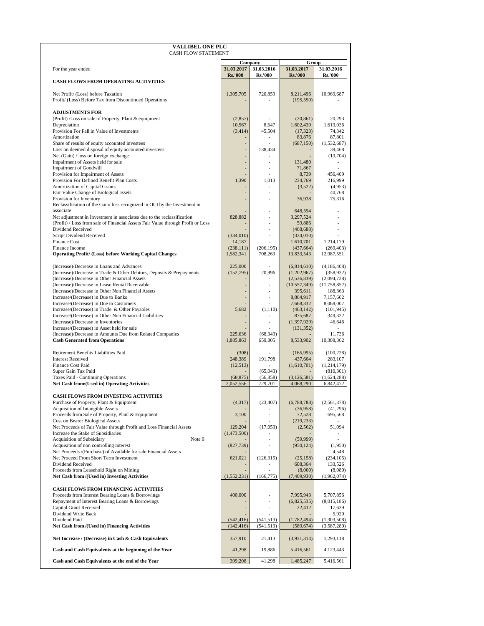| <b>VALLIBEL ONE PLC</b><br><b>CASH FLOW STATEMENT</b>                                                                 |                          |                          |                              |                            |
|-----------------------------------------------------------------------------------------------------------------------|--------------------------|--------------------------|------------------------------|----------------------------|
|                                                                                                                       |                          |                          | Group                        |                            |
| For the year ended                                                                                                    | 31.03.2017               | Company<br>31.03.2016    | 31.03.2017                   | 31.03.2016                 |
| <b>CASH FLOWS FROM OPERATING ACTIVITIES</b>                                                                           | <b>Rs.'000</b>           | <b>Rs.'000</b>           | <b>Rs.'000</b>               | <b>Rs.'000</b>             |
|                                                                                                                       |                          |                          |                              |                            |
| Net Profit/ (Loss) before Taxation<br>Profit/ (Loss) Before Tax from Discontinued Operations                          | 1,305,705                | 720,859                  | 8,211,496<br>(195, 550)      | 10,969,687                 |
|                                                                                                                       |                          |                          |                              |                            |
| <b>ADJUSTMENTS FOR</b><br>(Profit) /Loss on sale of Property, Plant & equipment                                       | (2,857)                  |                          | (20, 861)                    | 20,293                     |
| Depreciation                                                                                                          | 10,567                   | 8,647                    | 1,602,439                    | 1,613,036                  |
| Provision For Fall in Value of Investments<br>Amortization                                                            | (3, 414)                 | 45,504                   | (17, 323)<br>83,876          | 74,342<br>87,801           |
| Share of results of equity accounted investees                                                                        |                          |                          | (687, 150)                   | (1,532,687)                |
| Loss on deemed disposal of equity accounted investees                                                                 | L,                       | 138,434                  |                              | 39,468                     |
| Net (Gain) / loss on foreign exchange<br>Impairment of Assets held for sale                                           |                          | $\overline{a}$           | 131,480                      | (13,704)                   |
| <b>Impairment of Goodwill</b>                                                                                         |                          |                          | 71,867                       |                            |
| Provision for Impairment of Assets<br>Provision For Defined Benefit Plan Costs                                        | 1,390                    | 1,013                    | 8,739<br>234,769             | 456,409<br>216,999         |
| Amortization of Capital Grants                                                                                        |                          |                          | (3,522)                      | (4,953)                    |
| Fair Value Change of Biological assets<br>Provision for Inventory                                                     |                          |                          | 36,938                       | 40,768<br>75,316           |
| Reclassification of the Gain/loss recognized in OCI by the Investment in                                              |                          |                          |                              |                            |
| associate<br>Net adjustment in Investment in associates due to the reclassification                                   | 828,882                  | L.                       | 648.594<br>3,297,524         |                            |
| (Profit) / Loss from sale of Financial Assets Fair Value through Profit or Loss                                       |                          | ä,                       | 59,886                       | ÷,                         |
| Dividend Received<br>Script Dividend Received                                                                         | (334,010)                | L,<br>L,                 | (468, 688)<br>(334,010)      |                            |
| <b>Finance Cost</b>                                                                                                   | 14,187                   |                          | 1,610,701                    | 1,214,179                  |
| Finance Income                                                                                                        | (238, 111)               | (206, 195)               | (437, 664)                   | (269, 403)                 |
| <b>Operating Profit/ (Loss) before Working Capital Changes</b>                                                        | 1,582,341                | 708,263                  | 13,833,543                   | 12,987,551                 |
| (Increase)/Decrease in Loans and Advances                                                                             | 225,000                  |                          | (6,814,610)                  | (4, 186, 408)              |
| (Increase)/Decrease in Trade & Other Debtors, Deposits & Prepayments<br>(Increase)/Decrease in Other Financial Assets | (152, 795)               | 20,996<br>$\overline{a}$ | (1,202,967)<br>(2, 536, 839) | (358, 932)<br>(2,094,728)  |
| (Increase)/Decrease in Lease Rental Receivable                                                                        |                          | ä,                       | (10, 557, 349)               | (11, 758, 852)             |
| (Increase)/Decrease in Other Non Financial Assets<br>Increase/(Decrease) in Due to Banks                              |                          | L.                       | 395,611<br>8,864,917         | 188,363<br>7,157,602       |
| Increase/(Decrease) in Due to Customers                                                                               |                          |                          | 7,668,332                    | 8,068,007                  |
| Increase/(Decrease) in Trade & Other Payables<br>Increase/(Decrease) in Other Non Financial Liabilities               | 5,682                    | (1, 110)<br>ä,           | (463, 142)<br>875,687        | (101, 945)<br>349,322      |
| (Increase)/Decrease in Inventories                                                                                    |                          | $\overline{a}$           | (1, 397, 929)                | 46,646                     |
| Increase/(Decrease) in Asset held for sale<br>(Increase)/Decrease in Amounts Due from Related Companies               | 225,636                  | (68, 343)                | (131, 352)                   | 11,736                     |
| <b>Cash Generated from Operations</b>                                                                                 | 1,885,863                | 659,805                  | 8,533,902                    | 10,308,362                 |
| Retirement Benefits Liabilities Paid                                                                                  | (308)                    |                          | (165, 995)                   | (100, 228)                 |
| <b>Interest Received</b>                                                                                              | 248,389                  | 191,798                  | 437,664                      | 283,107                    |
| <b>Finance Cost Paid</b><br>Super Gain Tax Paid                                                                       | (12,513)                 | (65,043)                 | (1,610,701)                  | (1,214,179)<br>(810, 301)  |
| Taxes Paid - Continuing Operations                                                                                    | (68, 875)                | (56, 858)                | (3, 126, 581)                | (1,624,288)                |
| Net Cash from/(Used in) Operating Activities                                                                          | 2,052,556                | 729,701                  | 4,068,290                    | 6,842,472                  |
| <b>CASH FLOWS FROM INVESTING ACTIVITIES</b>                                                                           |                          |                          |                              |                            |
| Purchase of Property, Plant & Equipment<br>Acquisition of Intangible Assets                                           | (4, 317)                 | (23, 407)                | (6,788,788)<br>(36,958)      | (2, 561, 378)<br>(41,296)  |
| Proceeds from Sale of Property, Plant & Equipment                                                                     | 3,100                    |                          | 72,528                       | 695,568                    |
| <b>Cost on Bearer Biological Assets</b><br>Net Proceeds of Fair Value through Profit and Loss Financial Assets        |                          |                          | (219, 233)                   |                            |
| Increase the Stake of Subsidiaries                                                                                    | 129,204<br>(1,473,500)   | (17,053)                 | (2, 562)                     | 51,094                     |
| <b>Acquisition of Subsidiary</b><br>Note 9                                                                            |                          |                          | (59,999)                     | L.                         |
| Acquisition of non controlling interest<br>Net Proceeds /(Purchase) of Available for sale Financial Assets            | (827, 739)               | L,                       | (950, 124)                   | (1,950)<br>4,548           |
| Net Proceed From Short Term Investment                                                                                | 621,021                  | (126, 315)               | (25, 158)                    | (234, 105)                 |
| Dividend Received<br>Proceeds from Leasehold Right on Mining                                                          |                          |                          | 608,364<br>(8,000)           | 133,526<br>(8,080)         |
| Net Cash from /(Used in) Investing Activities                                                                         | (1, 552, 231)            | (166, 775)               | (7,409,930)                  | (1,962,074)                |
| <b>CASH FLOWS FROM FINANCING ACTIVITIES</b>                                                                           |                          |                          |                              |                            |
| Proceeds from Interest Bearing Loans & Borrowings                                                                     | 400,000                  | $\overline{a}$           | 7,995,943                    | 5,707,856                  |
| Repayment of Interest Bearing Loans & Borrowings<br>Capital Grant Received                                            |                          | L,<br>٠                  | (6,825,535)<br>22,412        | (8,015,186)<br>17,639      |
| Dividend Write Back                                                                                                   |                          |                          |                              | 5,920                      |
| Dividend Paid<br>Net Cash from /(Used in) Financing Activities                                                        | (542, 416)<br>(142, 416) | (541, 513)<br>(541, 513) | (1,782,494)<br>(589, 674)    | (1,303,508)<br>(3,587,280) |
|                                                                                                                       |                          |                          |                              |                            |
| Net Increase / (Decrease) in Cash & Cash Equivalents                                                                  | 357,910                  | 21,413                   | (3,931,314)                  | 1,293,118                  |
| Cash and Cash Equivalents at the beginning of the Year                                                                | 41,298                   | 19,886                   | 5,416,561                    | 4,123,443                  |
| Cash and Cash Equivalents at the end of the Year                                                                      | 399,208                  | 41,298                   | 1,485,247                    | 5,416,561                  |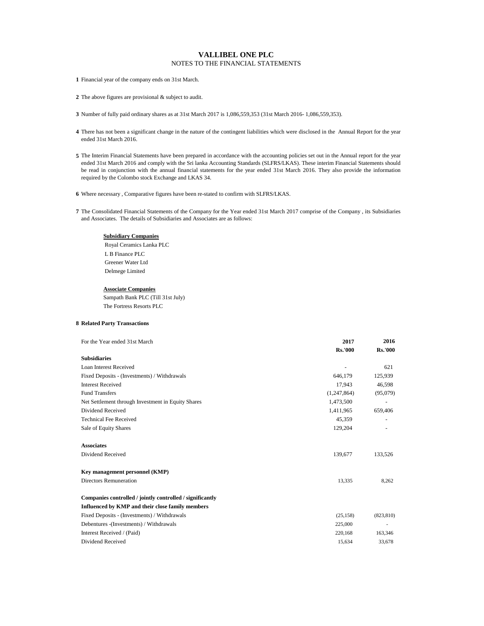# **VALLIBEL ONE PLC** NOTES TO THE FINANCIAL STATEMENTS

**1** Financial year of the company ends on 31st March.

**2** The above figures are provisional & subject to audit.

**3** Number of fully paid ordinary shares as at 31st March 2017 is 1,086,559,353 (31st March 2016- 1,086,559,353).

- **4** There has not been a significant change in the nature of the contingent liabilities which were disclosed in the Annual Report for the year ended 31st March 2016.
- 5 The Interim Financial Statements have been prepared in accordance with the accounting policies set out in the Annual report for the year ended 31st March 2016 and comply with the Sri lanka Accounting Standards (SLFRS/LKAS). These interim Financial Statements should be read in conjunction with the annual financial statements for the year ended 31st March 2016. They also provide the information required by the Colombo stock Exchange and LKAS 34.
- **6** Where necessary , Comparative figures have been re-stated to confirm with SLFRS/LKAS.
- **7** The Consolidated Financial Statements of the Company for the Year ended 31st March 2017 comprise of the Company , its Subsidiaries and Associates. The details of Subsidiaries and Associates are as follows:

## **Subsidiary Companies**

 Royal Ceramics Lanka PLC L B Finance PLC Greener Water Ltd Delmege Limited

#### **Associate Companies**

Sampath Bank PLC (Till 31st July) The Fortress Resorts PLC

## **8 Related Party Transactions**

| For the Year ended 31st March                             | 2017           | 2016           |
|-----------------------------------------------------------|----------------|----------------|
|                                                           | <b>Rs.'000</b> | <b>Rs.'000</b> |
| <b>Subsidiaries</b>                                       |                |                |
| Loan Interest Received                                    |                | 621            |
| Fixed Deposits - (Investments) / Withdrawals              | 646,179        | 125,939        |
| <b>Interest Received</b>                                  | 17.943         | 46,598         |
| <b>Fund Transfers</b>                                     | (1,247,864)    | (95,079)       |
| Net Settlement through Investment in Equity Shares        | 1,473,500      |                |
| Dividend Received                                         | 1,411,965      | 659,406        |
| <b>Technical Fee Received</b>                             | 45,359         |                |
| Sale of Equity Shares                                     | 129,204        |                |
| <b>Associates</b>                                         |                |                |
| Dividend Received                                         | 139,677        | 133,526        |
| Key management personnel (KMP)                            |                |                |
| <b>Directors Remuneration</b>                             | 13,335         | 8,262          |
| Companies controlled / jointly controlled / significantly |                |                |
| Influenced by KMP and their close family members          |                |                |
| Fixed Deposits - (Investments) / Withdrawals              | (25, 158)      | (823, 810)     |
| Debentures - (Investments) / Withdrawals                  | 225,000        |                |
| Interest Received / (Paid)                                | 220,168        | 163,346        |
| Dividend Received                                         | 15,634         | 33,678         |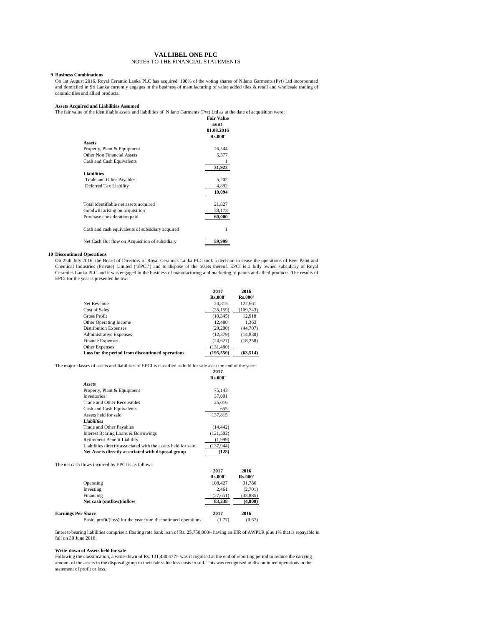## **VALLIBEL ONE PLC** NOTES TO THE FINANCIAL STATEMENTS

#### **9 Business Combinations**

On 1st August 2016, Royal Ceramic Lanka PLC has acquired 100% of the voting shares of Nilano Garments (Pvt) Ltd incorporated and domiciled in Sri Lanka currently engages in the business of manufacturing of value added tiles & retail and wholesale trading of ceramic tiles and allied products.

#### **Assets Acquired and Liabilities Assumed**

**Fair Value** The fair value of the identifiable assets and liabilities of Nilano Garments (Pvt) Ltd as at the date of acquisition were;

|                                                  | as at<br>01.08.2016<br><b>Rs.000'</b> |
|--------------------------------------------------|---------------------------------------|
| Assets                                           |                                       |
| Property, Plant & Equipment                      | 26,544                                |
| Other Non Financial Assets                       | 5,377                                 |
| Cash and Cash Equivalents                        |                                       |
|                                                  | 31,922                                |
| <b>Liabilities</b>                               |                                       |
| Trade and Other Payables                         | 5,202                                 |
| Deferred Tax Liability                           | 4,892                                 |
|                                                  | 10.094                                |
| Total identifiable net assets acquired           | 21,827                                |
| Goodwill arising on acquisition                  | 38,173                                |
| Purchase consideration paid                      | 60,000                                |
| Cash and cash equivalents of subsidiary acquired | 1                                     |
| Net Cash Out flow on Acquisition of subsidiary   | 59,999                                |

#### **10 Discontinued Operations**

On 25th July 2016, the Board of Directors of Royal Ceramics Lanka PLC took a decision to cease the operations of Ever Paint and Chemical Industries (Private) Limited ("EPCI") and to dispose of the assets thereof. EPCI is a fully owned subsidiary of Royal Ceramics Lanka PLC and it was engaged in the business of manufacturing and marketing of paints and allied products. The results of EPCI for the year is presented below:

|                                                  | 2017           | 2016           |
|--------------------------------------------------|----------------|----------------|
|                                                  | <b>Rs.000'</b> | <b>Rs.000'</b> |
| Net Revenue                                      | 24,815         | 122,661        |
| Cost of Sales                                    | (35, 159)      | (109, 743)     |
| Gross Profit                                     | (10, 345)      | 12,918         |
| Other Operating Income                           | 12.480         | 1.363          |
| <b>Distribution Expenses</b>                     | (29,200)       | (44,707)       |
| <b>Administrative Expenses</b>                   | (12, 379)      | (14, 830)      |
| <b>Finance Expenses</b>                          | (24, 627)      | (18, 258)      |
| Other Expenses                                   | (131.480)      |                |
| Loss for the period from discontinued operations | (195.550)      | (63.514)       |

The major classes of assets and liabilities of EPCI is classified as held for sale as at the end of the year:

|                                                               | 2017           |
|---------------------------------------------------------------|----------------|
|                                                               | <b>Rs.000'</b> |
| Assets                                                        |                |
| Property, Plant & Equipment                                   | 75.143         |
| <b>Inventories</b>                                            | 37,001         |
| Trade and Other Receivables                                   | 25,016         |
| Cash and Cash Equivalents                                     | 655            |
| Assets held for sale                                          | 137,815        |
| Liabilities                                                   |                |
| Trade and Other Payables                                      | (14, 442)      |
| Interest Bearing Loans & Borrowings                           | (121, 502)     |
| <b>Retirement Benefit Liability</b>                           | (1,999)        |
| Liabilities directly associated with the assets held for sale | (137, 944)     |
| Net Assets directly associated with disposal group            | (128)          |

|                                                                | 2017           | 2016           |
|----------------------------------------------------------------|----------------|----------------|
|                                                                | <b>Rs.000'</b> | <b>Rs.000'</b> |
| Operating                                                      | 108,427        | 31,786         |
| Investing                                                      | 2.461          | (2,701)        |
| Financing                                                      | (27, 651)      | (33,885)       |
| Net cash (outflow)/inflow                                      | 83,238         | (4,800)        |
| <b>Earnings Per Share</b>                                      | 2017           | 2016           |
| Basic, profit/(loss) for the year from discontinued operations | (1.77)         | (0.57)         |

Interest-bearing liabilities comprise a floating rate bank loan of Rs. 25,750,000/- having an EIR of AWPLR plus 1% that is repayable in full on 30 June 2018.

## **Write-down of Assets held for sale**

Following the classification, a write-down of Rs. 131,480,477/- was recognised at the end of reporting period to reduce the carrying amount of the assets in the disposal group to their fair value less costs to sell. This was recognised in discontinued operations in the statement of profit or loss.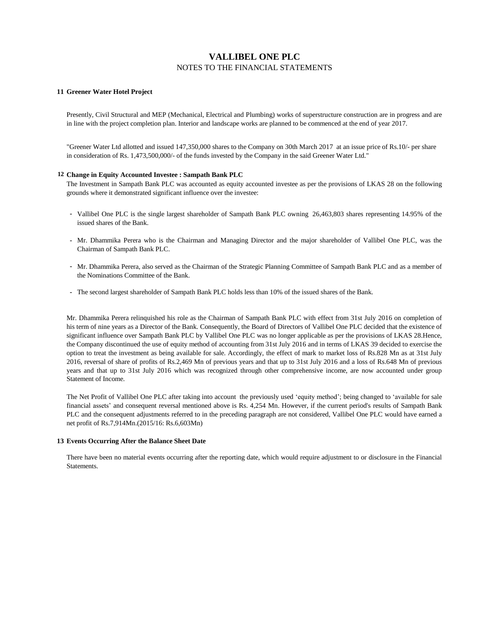# **VALLIBEL ONE PLC** NOTES TO THE FINANCIAL STATEMENTS

# **11 Greener Water Hotel Project**

Presently, Civil Structural and MEP (Mechanical, Electrical and Plumbing) works of superstructure construction are in progress and are in line with the project completion plan. Interior and landscape works are planned to be commenced at the end of year 2017.

"Greener Water Ltd allotted and issued 147,350,000 shares to the Company on 30th March 2017 at an issue price of Rs.10/- per share in consideration of Rs. 1,473,500,000/- of the funds invested by the Company in the said Greener Water Ltd."

## **12 Change in Equity Accounted Investee : Sampath Bank PLC**

The Investment in Sampath Bank PLC was accounted as equity accounted investee as per the provisions of LKAS 28 on the following grounds where it demonstrated significant influence over the investee:

- **-** Vallibel One PLC is the single largest shareholder of Sampath Bank PLC owning 26,463,803 shares representing 14.95% of the issued shares of the Bank.
- **-** Mr. Dhammika Perera who is the Chairman and Managing Director and the major shareholder of Vallibel One PLC, was the Chairman of Sampath Bank PLC.
- **-** Mr. Dhammika Perera, also served as the Chairman of the Strategic Planning Committee of Sampath Bank PLC and as a member of the Nominations Committee of the Bank.
- **-** The second largest shareholder of Sampath Bank PLC holds less than 10% of the issued shares of the Bank.

Mr. Dhammika Perera relinquished his role as the Chairman of Sampath Bank PLC with effect from 31st July 2016 on completion of his term of nine years as a Director of the Bank. Consequently, the Board of Directors of Vallibel One PLC decided that the existence of significant influence over Sampath Bank PLC by Vallibel One PLC was no longer applicable as per the provisions of LKAS 28.Hence, the Company discontinued the use of equity method of accounting from 31st July 2016 and in terms of LKAS 39 decided to exercise the option to treat the investment as being available for sale. Accordingly, the effect of mark to market loss of Rs.828 Mn as at 31st July 2016, reversal of share of profits of Rs.2,469 Mn of previous years and that up to 31st July 2016 and a loss of Rs.648 Mn of previous years and that up to 31st July 2016 which was recognized through other comprehensive income, are now accounted under group Statement of Income.

The Net Profit of Vallibel One PLC after taking into account the previously used 'equity method'; being changed to 'available for sale financial assets' and consequent reversal mentioned above is Rs. 4,254 Mn. However, if the current period's results of Sampath Bank PLC and the consequent adjustments referred to in the preceding paragraph are not considered, Vallibel One PLC would have earned a net profit of Rs.7,914Mn.(2015/16: Rs.6,603Mn)

#### **13 Events Occurring After the Balance Sheet Date**

There have been no material events occurring after the reporting date, which would require adjustment to or disclosure in the Financial Statements.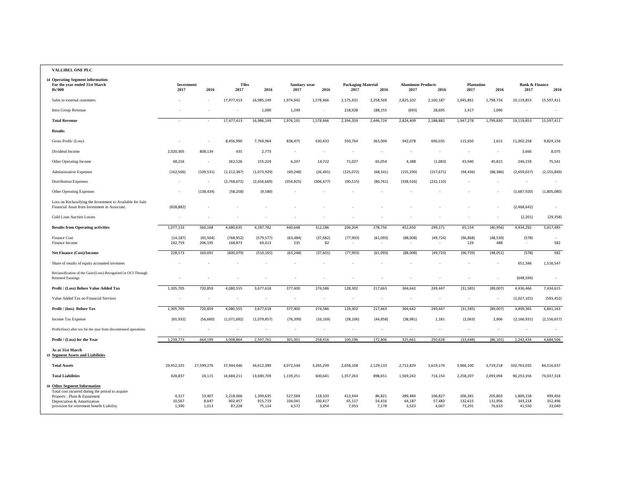## **VALLIBEL ONE PLC**

| 14 Operating Segment information<br>For the year ended 31st March<br><b>Rs'000</b>                                                                                                           | Investment<br>2017       | 2016                     | <b>Tiles</b><br>2017           | 2016                           | Sanitary wear<br>2017       | 2016                        | <b>Packaging Material</b><br>2017 | 2016                      | <b>Aluminum Products</b><br>2017 | 2016                       | <b>Plantation</b><br>2017    | 2016                         | <b>Bank &amp; Finance</b><br>2017 | 2016                         |
|----------------------------------------------------------------------------------------------------------------------------------------------------------------------------------------------|--------------------------|--------------------------|--------------------------------|--------------------------------|-----------------------------|-----------------------------|-----------------------------------|---------------------------|----------------------------------|----------------------------|------------------------------|------------------------------|-----------------------------------|------------------------------|
| Sales to external customers                                                                                                                                                                  |                          |                          | 17,477,413                     | 16,985,149                     | 1,974,942                   | 1,578,466                   | 2,175,431                         | 2,258,569                 | 2,825,102                        | 2,160,187                  | 1,945,861                    | 1,798,734                    | 19,119,853                        | 15,597,411                   |
| Intra Group Revenue                                                                                                                                                                          |                          |                          |                                | 1,000                          | 1,249                       | $\sim$                      | 218,928                           | 188,155                   | (693)                            | 28,695                     | 1,417                        | 1,096                        |                                   |                              |
| <b>Total Revenue</b>                                                                                                                                                                         |                          |                          | 17,477,413                     | 16,986,149                     | 1,976,191                   | 1,578,466                   | 2,394,359                         | 2,446,724                 | 2,824,409                        | 2,188,882                  | 1,947,278                    | 1,799,830                    | 19,119,853                        | 15,597,411                   |
| <b>Results</b>                                                                                                                                                                               |                          |                          |                                |                                |                             |                             |                                   |                           |                                  |                            |                              |                              |                                   |                              |
| Gross Profit/ (Loss)                                                                                                                                                                         |                          |                          | 8,456,990                      | 7,769,964                      | 838,475                     | 630,433                     | 350,764                           | 363,004                   | 942,078                          | 690,035                    | 115,650                      | 1,615                        | 11,002,258                        | 9,824,156                    |
| Dividend Income                                                                                                                                                                              | 2,020,305                | 808,134                  | 435                            | 2,773                          | $\sim$                      | $\sim$                      | $\bar{a}$                         | $\sim$                    | $\sim$                           | $\sim$                     |                              | $\sim$                       | 3,666                             | 8,075                        |
| Other Operating Income                                                                                                                                                                       | 48,216                   |                          | 262,526                        | 155,224                        | 6,247                       | 14,722                      | 71,027                            | 65,054                    | 4,388                            | (1,083)                    | 43,940                       | 45,815                       | 246,159                           | 75,541                       |
| <b>Administrative Expenses</b>                                                                                                                                                               | (162, 506)               | (109, 531)               | (1, 212, 387)                  | (1,073,929)                    | (49, 248)                   | (26, 491)                   | (125,072)                         | (68, 541)                 | (155, 290)                       | (157, 671)                 | (94, 436)                    | (88, 386)                    | (2,659,027)                       | (2, 155, 849)                |
| <b>Distribution Expenses</b>                                                                                                                                                                 | $\sim$                   | $\sim$                   | (2,768,672)                    | (2,656,669)                    | (354, 825)                  | (306, 477)                  | (90, 515)                         | (80, 761)                 | (338, 526)                       | (232, 110)                 |                              | ч.                           | $\sim$                            |                              |
| <b>Other Operating Expenses</b>                                                                                                                                                              |                          | (138, 434)               | (58, 258)                      | (9,580)                        |                             |                             |                                   |                           |                                  |                            |                              |                              | (1,687,920)                       | (1,805,080)                  |
| Loss on Reclassifying the Investment to Available for Sale<br>Financial Asset from Investment in Associate.                                                                                  | (828, 882)               |                          |                                |                                |                             |                             |                                   |                           |                                  |                            |                              |                              | (2,468,642)                       |                              |
| <b>Gold Loan Auction Losses</b>                                                                                                                                                              | $\sim$                   |                          |                                |                                |                             |                             |                                   |                           |                                  |                            |                              | ч.                           | (2, 201)                          | (29, 358)                    |
| <b>Results from Operating activities</b>                                                                                                                                                     | 1,077,133                | 560,168                  | 4,680,635                      | 4,187,782                      | 440,648                     | 312,186                     | 206,204                           | 278,756                   | 452,650                          | 299,171                    | 65,154                       | (40, 956)                    | 4,434,292                         | 5,917,485                    |
| <b>Finance Cost</b><br>Finance Income                                                                                                                                                        | (14, 187)<br>242,759     | (45, 504)<br>206,195     | (768, 952)<br>168,873          | (579, 577)<br>69,413           | (63, 484)<br>235            | (37, 682)<br>82             | (77, 903)                         | (61,093)                  | (88,008)                         | (49, 724)                  | (96, 868)<br>129             | (48, 539)<br>488             | (578)                             | 582                          |
| Net Finance (Cost)/Income                                                                                                                                                                    | 228,573                  | 160,691                  | (600, 079)                     | (510, 165)                     | (63, 248)                   | (37, 601)                   | (77, 903)                         | (61,093)                  | (88,008)                         | (49, 724)                  | (96, 739)                    | (48, 051)                    | (578)                             | 582                          |
| Share of results of equity accounted investees                                                                                                                                               |                          |                          |                                |                                |                             |                             | ٠                                 |                           |                                  |                            |                              |                              | 651,346                           | 1,516,547                    |
| Reclassification of the Gain/(Loss) Recognized in OCI Through<br><b>Retained Earnings</b>                                                                                                    |                          |                          |                                |                                |                             |                             |                                   |                           |                                  |                            |                              |                              | (648, 594)                        |                              |
| Profit / (Loss) Before Value Added Tax                                                                                                                                                       | 1,305,705                | 720,859                  | 4,080,555                      | 3,677,618                      | 377,400                     | 274,586                     | 128,302                           | 217,663                   | 364,642                          | 249,447                    | (31, 585)                    | (89,007)                     | 4,436,466                         | 7,434,615                    |
| Value Added Tax on Financial Services                                                                                                                                                        | ×,                       |                          |                                | ÷,                             |                             |                             |                                   |                           | $\overline{\phantom{a}}$         | $\sim$                     | $\sim$                       | ÷,                           | (1,027,101)                       | (593, 452)                   |
| Profit / (loss) Before Tax                                                                                                                                                                   | 1,305,705                | 720,859                  | 4,080,555                      | 3,677,618                      | 377,400                     | 274,586                     | 128,302                           | 217,663                   | 364,642                          | 249,447                    | (31, 585)                    | (89,007)                     | 3,409,365                         | 6,841,163                    |
| Income Tax Expense                                                                                                                                                                           | (65, 932)                | (56, 660)                | (1,071,692)                    | (1,079,857)                    | (76, 399)                   | (16, 169)                   | (28, 106)                         | (44, 858)                 | (38, 981)                        | 1,181                      | (2,063)                      | 2,906                        | (2, 166, 931)                     | (2, 156, 657)                |
| Profit/(loss) after tax for the year from discontinued operations                                                                                                                            |                          |                          |                                |                                |                             |                             |                                   |                           |                                  |                            |                              |                              |                                   |                              |
| Profit / (Loss) for the Year                                                                                                                                                                 | 1,239,773                | 664,199                  | 3,008,864                      | 2,597,761                      | 301,001                     | 258,416                     | 100,196                           | 172,806                   | 325,661                          | 250,628                    | (33, 648)                    | (86, 101)                    | 1,242,434                         | 4,684,506                    |
| As at 31st March<br><b>15 Segment Assets and Liabilities</b>                                                                                                                                 |                          |                          |                                |                                |                             |                             |                                   |                           |                                  |                            |                              |                              |                                   |                              |
| <b>Total Assets</b>                                                                                                                                                                          | 29,452,325               | 27,599,276               | 37,944,446                     | 34,612,389                     | 4,072,544                   | 3,265,299                   | 2,658,108                         | 2,129,133                 | 2,712,829                        | 1,619,174                  | 3,966,100                    | 3,719,218                    | 102,763,035                       | 84,516,637                   |
| <b>Total Liabilities</b>                                                                                                                                                                     | 428,837                  | 24,115                   | 14,684,211                     | 13,690,709                     | 1,139,251                   | 600,641                     | 1,357,263                         | 898,651                   | 1,569,242                        | 714,154                    | 2,258,207                    | 2,093,094                    | 90,253,356                        | 74,037,318                   |
| 16 Other Segment Information<br>Total cost incurred during the period to acquire<br>Property, Plant & Equipment<br>Depreciation & Amortization<br>provision for retirement benefit Liability | 4,317<br>10,567<br>1,390 | 23,407<br>8,647<br>1,013 | 2,218,066<br>902,457<br>87,228 | 1,399,635<br>915,719<br>75,114 | 527,569<br>104,041<br>4,572 | 118,103<br>100,417<br>3,454 | 413,944<br>65,117<br>7,953        | 86,821<br>54,416<br>7,178 | 289,484<br>64,187<br>3,523       | 106,827<br>57,483<br>4,067 | 206,381<br>132,615<br>73,291 | 205,803<br>131,956<br>76,633 | 1,809,158<br>343,218<br>41,550    | 499,456<br>352,496<br>33,040 |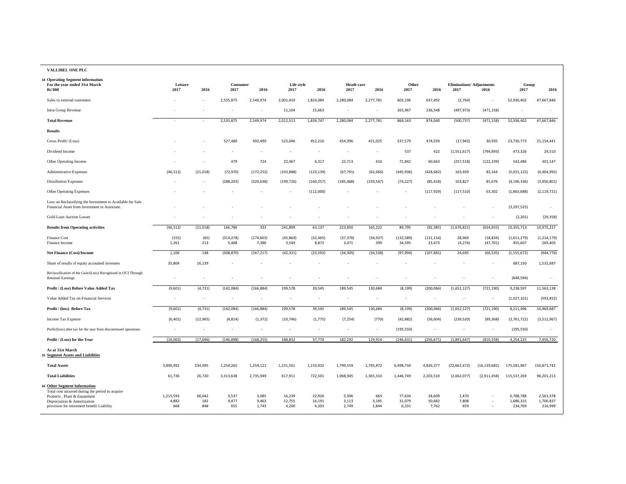| <b>VALLIBEL ONE PLC</b> |  |  |
|-------------------------|--|--|

| 14 Operating Segment information<br>For the year ended 31st March                                                                                                                            | Leisure                   |                      | Consumer              |                         | Life style                |                           | <b>Heath care</b>       |                          | Other                     |                           | <b>Eliminations/ Adjustments</b> |                        | Group                             |                                   |
|----------------------------------------------------------------------------------------------------------------------------------------------------------------------------------------------|---------------------------|----------------------|-----------------------|-------------------------|---------------------------|---------------------------|-------------------------|--------------------------|---------------------------|---------------------------|----------------------------------|------------------------|-----------------------------------|-----------------------------------|
| <b>Rs'000</b>                                                                                                                                                                                | 2017                      | 2016                 | 2017                  | 2016                    | 2017                      | 2016                      | 2017                    | 2016                     | 2017                      | 2016                      | 2017                             | 2016                   | 2017                              | 2016                              |
| Sales to external customers                                                                                                                                                                  |                           | $\sim$               | 2,535,875             | 2,549,974               | 2,001,410                 | 1,824,084                 | 2,280,084               | 2,277,781                | 603,196                   | 637,492                   | (2,764)                          | $\sim$                 | 52,936,402                        | 47,667,846                        |
| Intra Group Revenue                                                                                                                                                                          |                           |                      |                       | ÷,                      | 11,104                    | 15,663                    |                         |                          | 265,967                   | 236,548                   | (497, 973)                       | (471, 158)             |                                   |                                   |
| <b>Total Revenue</b>                                                                                                                                                                         |                           | ÷,                   | 2,535,875             | 2,549,974               | 2,012,513                 | 1,839,747                 | 2,280,084               | 2,277,781                | 869,163                   | 874,040                   | (500, 737)                       | (471, 158)             | 52,936,402                        | 47,667,846                        |
| <b>Results</b>                                                                                                                                                                               |                           |                      |                       |                         |                           |                           |                         |                          |                           |                           |                                  |                        |                                   |                                   |
| Gross Profit/ (Loss)                                                                                                                                                                         |                           |                      | 527,480               | 492,499                 | 523,046                   | 452,216                   | 454,396                 | 421,025                  | 537,579                   | 478,559                   | (17, 943)                        | 30,935                 | 23,730,773                        | 21,154,441                        |
| Dividend Income                                                                                                                                                                              |                           |                      |                       |                         |                           |                           |                         | $\overline{\phantom{a}}$ | 537                       | 422                       | (1,551,617)                      | (794, 893)             | 473,326                           | 24,510                            |
| Other Operating Income                                                                                                                                                                       |                           |                      | 479                   | 724                     | 22,467                    | 6,317                     | 22,713                  | 410                      | 71,842                    | 60,663                    | (257, 518)                       | (122, 239)             | 542,486                           | 301,147                           |
| <b>Administrative Expenses</b>                                                                                                                                                               | (46, 512)                 | (21,018)             | (72, 970)             | (172, 252)              | (103, 888)                | (123, 139)                | (67, 791)               | (62, 666)                | (445, 936)                | (428, 682)                | 163,939                          | 83,164                 | (5,031,122)                       | (4,404,992)                       |
| <b>Distribution Expenses</b>                                                                                                                                                                 |                           |                      | (288, 203)            | (320, 638)              | (199, 726)                | (160, 257)                | (185, 468)              | (193, 547)               | (74, 227)                 | (85, 418)                 | 103,827                          | 85,076                 | (4, 196, 336)                     | (3,950,801)                       |
| <b>Other Operating Expenses</b>                                                                                                                                                              |                           |                      |                       |                         |                           | (112,000)                 |                         |                          |                           | (117, 929)                | (117, 510)                       | 63,302                 | (1,863,688)                       | (2, 119, 721)                     |
| Loss on Reclassifying the Investment to Available for Sale<br>Financial Asset from Investment in Associate.                                                                                  |                           |                      |                       |                         |                           |                           |                         |                          |                           |                           |                                  |                        | (3, 297, 525)                     | $\overline{\phantom{a}}$          |
| <b>Gold Loan Auction Losses</b>                                                                                                                                                              |                           |                      |                       |                         |                           | ٠                         |                         |                          |                           |                           |                                  |                        | (2, 201)                          | (29, 358)                         |
| <b>Results from Operating activities</b>                                                                                                                                                     | (46, 512)                 | (21, 018)            | 166,786               | 333                     | 241,899                   | 63,137                    | 223,850                 | 165,222                  | 89,795                    | (92, 385)                 | (1,676,821)                      | (654, 655)             | 10,355,713                        | 10,975,227                        |
| Finance Cost<br>Finance Income                                                                                                                                                               | (155)<br>1,261            | (65)<br>213          | (314, 278)<br>5,408   | (174, 603)<br>7,386     | (45, 869)<br>3,549        | (32, 465)<br>8,873        | (37, 376)<br>3,071      | (34, 937)<br>399         | (132, 589)<br>34,595      | (131, 154)<br>23,473      | 28,969<br>(4, 274)               | (18, 834)<br>(47, 701) | (1,611,279)<br>455,607            | (1, 214, 179)<br>269,403          |
| Net Finance (Cost)/Income                                                                                                                                                                    | 1,106                     | 148                  | (308, 870)            | (167, 217)              | (42, 321)                 | (23, 592)                 | (34, 305)               | (34, 538)                | (97, 994)                 | (107, 681)                | 24,695                           | (66, 535)              | (1, 155, 672)                     | (944, 776)                        |
| Share of results of equity accounted investees                                                                                                                                               | 35,804                    | 16,139               |                       |                         |                           | ٠                         |                         | ÷,                       | $\sim$                    |                           |                                  |                        | 687,150                           | 1,532,687                         |
| Reclassification of the Gain/(Loss) Recognized in OCI Through<br><b>Retained Earnings</b>                                                                                                    |                           | i.                   |                       | ٠                       |                           |                           |                         |                          |                           |                           |                                  | $\sim$                 | (648, 594)                        | $\sim$                            |
| Profit / (Loss) Before Value Added Tax                                                                                                                                                       | (9,601)                   | (4,731)              | (142, 084)            | (166, 884)              | 199,578                   | 39,545                    | 189,545                 | 130,684                  | (8, 199)                  | (200, 066)                | (1,652,127)                      | (721, 190)             | 9,238,597                         | 11,563,138                        |
| Value Added Tax on Financial Services                                                                                                                                                        | $\sim$                    | $\sim$               | $\sim$                | $\sim$                  | $\sim$                    | ٠                         |                         | $\sim$                   | $\sim$                    | ÷,                        | $\sim$                           | $\sim$                 | (1,027,101)                       | (593, 452)                        |
| Profit / (loss) Before Tax                                                                                                                                                                   | (9,601)                   | (4, 731)             | (142, 084)            | (166, 884)              | 199,578                   | 39,545                    | 189,545                 | 130,684                  | (8, 199)                  | (200, 066)                | (1,652,127)                      | (721, 190)             | 8,211,496                         | 10,969,687                        |
| Income Tax Expense                                                                                                                                                                           | (6, 401)                  | (12, 965)            | (4, 814)              | (1, 372)                | (10, 746)                 | (1, 775)                  | (7, 254)                | (770)                    | (42, 882)                 | (56, 604)                 | (239, 520)                       | (89, 368)              | (3,761,722)                       | (3,512,967)                       |
| Profit/(loss) after tax for the year from discontinued operations                                                                                                                            |                           | $\sim$               |                       | ٠                       |                           | $\sim$                    | $\sim$                  | $\overline{\phantom{a}}$ | (195, 550)                | $\sim$                    | $\sim$                           | $\sim$                 | (195, 550)                        | $\sim$                            |
| Profit / (Loss) for the Year                                                                                                                                                                 | (16.002)                  | (17,696)             | (146, 898)            | (168, 255)              | 188.832                   | 37,770                    | 182,292                 | 129.914                  | (246, 631)                | (256, 671)                | (1,891,647)                      | (810, 558)             | 4,254,225                         | 7,456,720                         |
| As at 31st March<br>15 Segment Assets and Liabilities                                                                                                                                        |                           |                      |                       |                         |                           |                           |                         |                          |                           |                           |                                  |                        |                                   |                                   |
| <b>Total Assets</b>                                                                                                                                                                          | 3,890,992                 | 534,995              | 1,254,265             | 1,259,121               | 1,231,501                 | 1,133,932                 | 1,799,559               | 1,795,872                | 6,498,734                 | 4,826,377                 | (22, 662, 472)                   | (16, 139, 682)         | 175,581,967                       | 150,871,742                       |
| <b>Total Liabilities</b>                                                                                                                                                                     | 61,736                    | 26,720               | 3,313,638             | 2,735,949               | 617,911                   | 722,501                   | 1,068,945               | 1,365,310                | 1,446,749                 | 2,203,510                 | (2,662,077)                      | (2,911,458)            | 115,537,269                       | 96,201,213                        |
| 16 Other Segment Information<br>Total cost incurred during the period to acquire<br>Property, Plant & Equipment<br>Depreciation & Amortization<br>provision for retirement benefit Liability | 1,215,593<br>4,882<br>668 | 66,042<br>182<br>848 | 3,537<br>4,477<br>655 | 3,085<br>9,463<br>1,743 | 16,239<br>12,755<br>4,200 | 22,926<br>16,191<br>4,303 | 5,396<br>3,113<br>2,749 | 663<br>3,185<br>1,844    | 77,634<br>31,079<br>6,331 | 28,609<br>50,682<br>7,762 | 1,470<br>7,808<br>659            | ×.                     | 6,788,788<br>1,686,315<br>234,769 | 2,561,378<br>1,700,837<br>216,999 |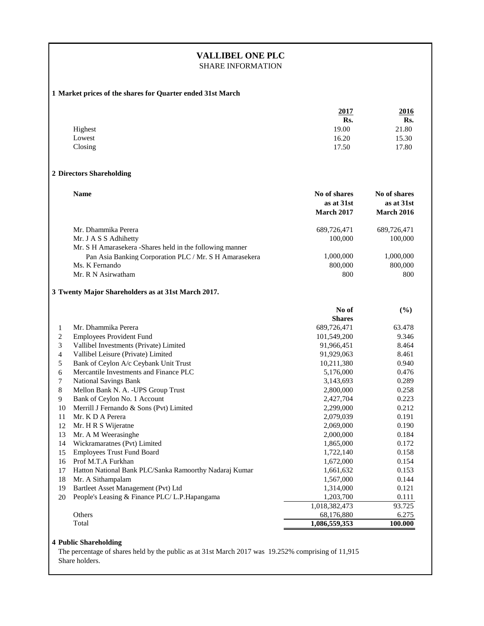# **VALLIBEL ONE PLC**

SHARE INFORMATION

# **1 Market prices of the shares for Quarter ended 31st March**

|                  |                                                                         | 2017                                            | 2016                                            |
|------------------|-------------------------------------------------------------------------|-------------------------------------------------|-------------------------------------------------|
|                  |                                                                         | Rs.                                             | Rs.                                             |
|                  | Highest                                                                 | 19.00                                           | 21.80                                           |
|                  | Lowest                                                                  | 16.20                                           | 15.30                                           |
|                  | Closing                                                                 | 17.50                                           | 17.80                                           |
|                  | 2 Directors Shareholding                                                |                                                 |                                                 |
|                  | <b>Name</b>                                                             | No of shares<br>as at 31st<br><b>March 2017</b> | No of shares<br>as at 31st<br><b>March 2016</b> |
|                  | Mr. Dhammika Perera                                                     | 689,726,471                                     | 689,726,471                                     |
|                  | Mr. J A S S Adhihetty                                                   | 100,000                                         | 100,000                                         |
|                  | Mr. S H Amarasekera -Shares held in the following manner                |                                                 |                                                 |
|                  | Pan Asia Banking Corporation PLC / Mr. S H Amarasekera                  | 1,000,000                                       | 1,000,000                                       |
|                  | Ms. K Fernando                                                          | 800,000                                         | 800,000                                         |
|                  | Mr. R N Asirwatham                                                      | 800                                             | 800                                             |
|                  | 3 Twenty Major Shareholders as at 31st March 2017.                      |                                                 |                                                 |
|                  |                                                                         | No of<br><b>Shares</b>                          | (%)                                             |
| 1                | Mr. Dhammika Perera                                                     | 689,726,471                                     | 63.478                                          |
| 2                | <b>Employees Provident Fund</b>                                         | 101,549,200                                     | 9.346                                           |
| 3                | Vallibel Investments (Private) Limited                                  | 91,966,451                                      | 8.464                                           |
| $\overline{4}$   | Vallibel Leisure (Private) Limited                                      | 91,929,063                                      | 8.461                                           |
| 5                | Bank of Ceylon A/c Ceybank Unit Trust                                   | 10,211,380                                      | 0.940                                           |
| 6                | Mercantile Investments and Finance PLC                                  | 5,176,000                                       | 0.476                                           |
| $\boldsymbol{7}$ | National Savings Bank                                                   | 3,143,693                                       | 0.289                                           |
| 8                | Mellon Bank N. A. - UPS Group Trust                                     | 2,800,000                                       | 0.258<br>0.223                                  |
| 9<br>10          | Bank of Ceylon No. 1 Account<br>Merrill J Fernando & Sons (Pvt) Limited | 2,427,704<br>2,299,000                          | 0.212                                           |
| 11               | Mr. K D A Perera                                                        | 2,079,039                                       | 0.191                                           |
| 12               | Mr. H R S Wijeratne                                                     | 2,069,000                                       | 0.190                                           |
| 13               | Mr. A M Weerasinghe                                                     | 2,000,000                                       | 0.184                                           |
| 14               | Wickramaratnes (Pvt) Limited                                            | 1,865,000                                       | 0.172                                           |
| 15               | <b>Employees Trust Fund Board</b>                                       | 1,722,140                                       | 0.158                                           |
| 16               | Prof M.T.A Furkhan                                                      | 1,672,000                                       | 0.154                                           |
| 17               | Hatton National Bank PLC/Sanka Ramoorthy Nadaraj Kumar                  | 1,661,632                                       | 0.153                                           |
| 18               | Mr. A Sithampalam                                                       | 1,567,000                                       | 0.144                                           |
| 19               | Bartleet Asset Management (Pvt) Ltd                                     | 1,314,000                                       | 0.121                                           |
| 20               | People's Leasing & Finance PLC/L.P.Hapangama                            | 1,203,700                                       | 0.111                                           |
|                  |                                                                         | 1,018,382,473                                   | 93.725                                          |
|                  | Others                                                                  | 68,176,880                                      | 6.275                                           |
|                  | Total                                                                   | 1,086,559,353                                   | 100.000                                         |

## **4 Public Shareholding**

The percentage of shares held by the public as at 31st March 2017 was 19.252% comprising of 11,915 Share holders.